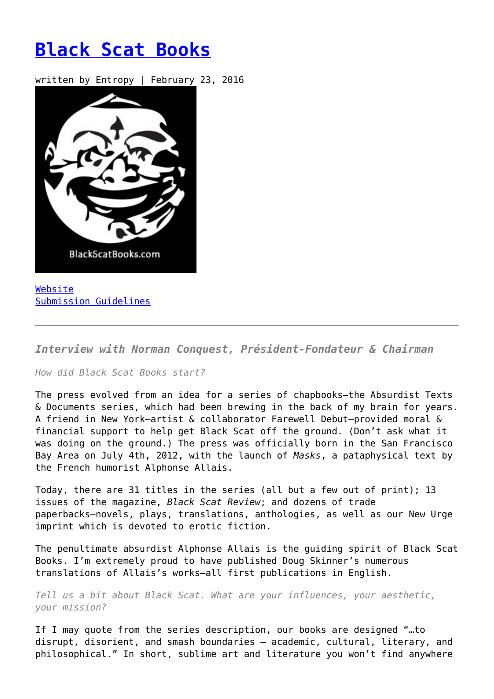## **[Black Scat Books](https://entropymag.org/black-scat-books/)**

written by Entropy | February 23, 2016



[Website](http://blackscatbooks.com/) [Submission Guidelines](http://blackscatbooks.com/submissions/)

*Interview with Norman Conquest, Président-Fondateur & Chairman*

*How did Black Scat Books start?*

The press evolved from an idea for a series of chapbooks—the Absurdist Texts & Documents series, which had been brewing in the back of my brain for years. A friend in New York—artist & collaborator Farewell Debut—provided moral & financial support to help get Black Scat off the ground. (Don't ask what it was doing on the ground.) The press was officially born in the San Francisco Bay Area on July 4th, 2012, with the launch of *Masks*, a pataphysical text by the French humorist Alphonse Allais.

Today, there are 31 titles in the series (all but a few out of print); 13 issues of the magazine, *Black Scat Review*; and dozens of trade paperbacks—novels, plays, translations, anthologies, as well as our New Urge imprint which is devoted to erotic fiction.

The penultimate absurdist Alphonse Allais is the guiding spirit of Black Scat Books. I'm extremely proud to have published Doug Skinner's numerous translations of Allais's works—all first publications in English.

*Tell us a bit about Black Scat. What are your influences, your aesthetic, your mission?*

If I may quote from the series description, our books are designed "…to disrupt, disorient, and smash boundaries – academic, cultural, literary, and philosophical." In short, sublime art and literature you won't find anywhere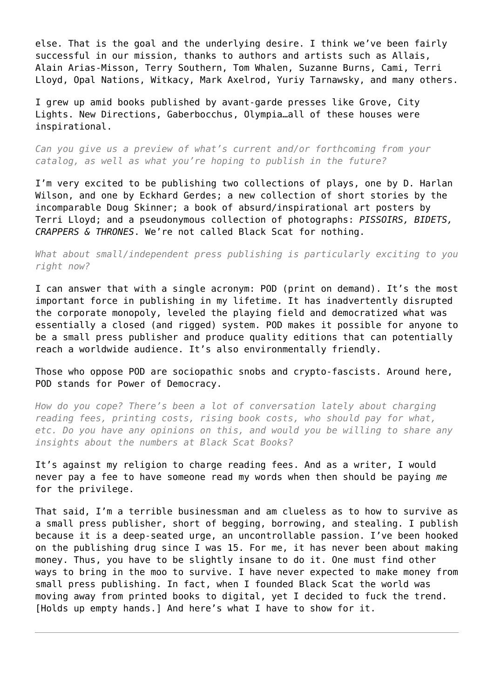else. That is the goal and the underlying desire. I think we've been fairly successful in our mission, thanks to authors and artists such as Allais, Alain Arias-Misson, Terry Southern, Tom Whalen, Suzanne Burns, Cami, Terri Lloyd, Opal Nations, Witkacy, Mark Axelrod, Yuriy Tarnawsky, and many others.

I grew up amid books published by avant-garde presses like Grove, City Lights. New Directions, Gaberbocchus, Olympia…all of these houses were inspirational.

*Can you give us a preview of what's current and/or forthcoming from your catalog, as well as what you're hoping to publish in the future?*

I'm very excited to be publishing two collections of plays, one by D. Harlan Wilson, and one by Eckhard Gerdes; a new collection of short stories by the incomparable Doug Skinner; a book of absurd/inspirational art posters by Terri Lloyd; and a pseudonymous collection of photographs: *PISSOIRS, BIDETS, CRAPPERS & THRONES*. We're not called Black Scat for nothing.

*What about small/independent press publishing is particularly exciting to you right now?*

I can answer that with a single acronym: POD (print on demand). It's the most important force in publishing in my lifetime. It has inadvertently disrupted the corporate monopoly, leveled the playing field and democratized what was essentially a closed (and rigged) system. POD makes it possible for anyone to be a small press publisher and produce quality editions that can potentially reach a worldwide audience. It's also environmentally friendly.

Those who oppose POD are sociopathic snobs and crypto-fascists. Around here, POD stands for Power of Democracy.

*How do you cope? There's been a lot of conversation lately about charging reading fees, printing costs, rising book costs, who should pay for what, etc. Do you have any opinions on this, and would you be willing to share any insights about the numbers at Black Scat Books?*

It's against my religion to charge reading fees. And as a writer, I would never pay a fee to have someone read my words when then should be paying *me* for the privilege.

That said, I'm a terrible businessman and am clueless as to how to survive as a small press publisher, short of begging, borrowing, and stealing. I publish because it is a deep-seated urge, an uncontrollable passion. I've been hooked on the publishing drug since I was 15. For me, it has never been about making money. Thus, you have to be slightly insane to do it. One must find other ways to bring in the moo to survive. I have never expected to make money from small press publishing. In fact, when I founded Black Scat the world was moving away from printed books to digital, yet I decided to fuck the trend. [Holds up empty hands.] And here's what I have to show for it.